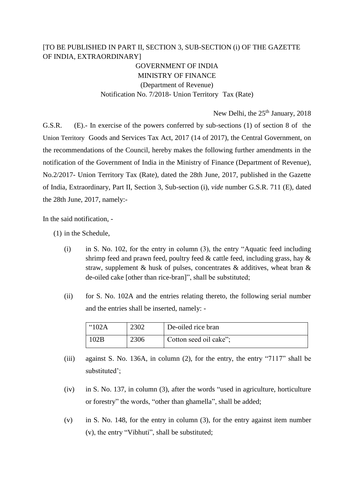## [TO BE PUBLISHED IN PART II, SECTION 3, SUB-SECTION (i) OF THE GAZETTE OF INDIA, EXTRAORDINARY]

GOVERNMENT OF INDIA MINISTRY OF FINANCE (Department of Revenue) Notification No. 7/2018- Union Territory Tax (Rate)

New Delhi, the 25<sup>th</sup> January, 2018

G.S.R. (E).- In exercise of the powers conferred by sub-sections (1) of section 8 of the Union Territory Goods and Services Tax Act, 2017 (14 of 2017), the Central Government, on the recommendations of the Council, hereby makes the following further amendments in the notification of the Government of India in the Ministry of Finance (Department of Revenue), No.2/2017- Union Territory Tax (Rate), dated the 28th June, 2017, published in the Gazette of India, Extraordinary, Part II, Section 3, Sub-section (i), *vide* number G.S.R. 711 (E), dated the 28th June, 2017, namely:-

In the said notification, -

(1) in the Schedule,

- (i) in S. No. 102, for the entry in column (3), the entry "Aquatic feed including shrimp feed and prawn feed, poultry feed  $\&$  cattle feed, including grass, hay  $\&$ straw, supplement & husk of pulses, concentrates  $\&$  additives, wheat bran  $\&$ de-oiled cake [other than rice-bran]", shall be substituted;
- (ii) for S. No. 102A and the entries relating thereto, the following serial number and the entries shall be inserted, namely: -

| "102A | 2302 | De-oiled rice bran     |
|-------|------|------------------------|
| 02B   | 2306 | Cotton seed oil cake"; |

- (iii) against S. No. 136A, in column (2), for the entry, the entry "7117" shall be substituted';
- (iv) in S. No. 137, in column (3), after the words "used in agriculture, horticulture or forestry" the words, "other than ghamella", shall be added;
- (v) in S. No. 148, for the entry in column (3), for the entry against item number (v), the entry "Vibhuti", shall be substituted;